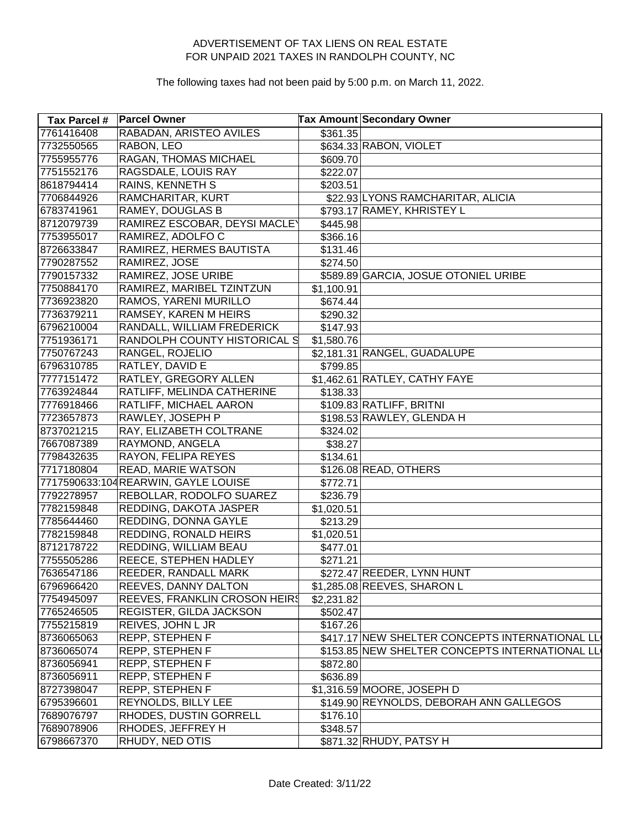| <b>Tax Parcel #</b> | <b>Parcel Owner</b>                  |            | Tax Amount Secondary Owner                     |
|---------------------|--------------------------------------|------------|------------------------------------------------|
| 7761416408          | RABADAN, ARISTEO AVILES              | \$361.35   |                                                |
| 7732550565          | RABON, LEO                           |            | \$634.33 RABON, VIOLET                         |
| 7755955776          | RAGAN, THOMAS MICHAEL                | \$609.70   |                                                |
| 7751552176          | RAGSDALE, LOUIS RAY                  | \$222.07   |                                                |
| 8618794414          | <b>RAINS, KENNETH S</b>              | \$203.51   |                                                |
| 7706844926          | RAMCHARITAR, KURT                    |            | \$22.93 LYONS RAMCHARITAR, ALICIA              |
| 6783741961          | RAMEY, DOUGLAS B                     |            | \$793.17 RAMEY, KHRISTEY L                     |
| 8712079739          | RAMIREZ ESCOBAR, DEYSI MACLEY        | \$445.98   |                                                |
| 7753955017          | RAMIREZ, ADOLFO C                    | \$366.16   |                                                |
| 8726633847          | RAMIREZ, HERMES BAUTISTA             | \$131.46   |                                                |
| 7790287552          | RAMIREZ, JOSE                        | \$274.50   |                                                |
| 7790157332          | RAMIREZ, JOSE URIBE                  |            | \$589.89 GARCIA, JOSUE OTONIEL URIBE           |
| 7750884170          | RAMIREZ, MARIBEL TZINTZUN            | \$1,100.91 |                                                |
| 7736923820          | RAMOS, YARENI MURILLO                | \$674.44   |                                                |
| 7736379211          | RAMSEY, KAREN M HEIRS                | \$290.32   |                                                |
| 6796210004          | RANDALL, WILLIAM FREDERICK           | \$147.93   |                                                |
| 7751936171          | RANDOLPH COUNTY HISTORICAL S         | \$1,580.76 |                                                |
| 7750767243          | RANGEL, ROJELIO                      |            | \$2,181.31 RANGEL, GUADALUPE                   |
| 6796310785          | RATLEY, DAVID E                      | \$799.85   |                                                |
| 7777151472          | RATLEY, GREGORY ALLEN                |            | \$1,462.61 RATLEY, CATHY FAYE                  |
| 7763924844          | RATLIFF, MELINDA CATHERINE           | \$138.33   |                                                |
| 7776918466          | RATLIFF, MICHAEL AARON               |            | \$109.83 RATLIFF, BRITNI                       |
| 7723657873          | RAWLEY, JOSEPH P                     |            | \$198.53 RAWLEY, GLENDA H                      |
| 8737021215          | RAY, ELIZABETH COLTRANE              | \$324.02   |                                                |
| 7667087389          | RAYMOND, ANGELA                      | \$38.27    |                                                |
| 7798432635          | RAYON, FELIPA REYES                  | \$134.61   |                                                |
| 7717180804          | READ, MARIE WATSON                   |            | \$126.08 READ, OTHERS                          |
|                     | 7717590633:104 REARWIN, GAYLE LOUISE | \$772.71   |                                                |
| 7792278957          | REBOLLAR, RODOLFO SUAREZ             | \$236.79   |                                                |
| 7782159848          | REDDING, DAKOTA JASPER               | \$1,020.51 |                                                |
| 7785644460          | REDDING, DONNA GAYLE                 | \$213.29   |                                                |
| 7782159848          | REDDING, RONALD HEIRS                | \$1,020.51 |                                                |
| 8712178722          | REDDING, WILLIAM BEAU                | \$477.01   |                                                |
| 7755505286          | REECE, STEPHEN HADLEY                | \$271.21   |                                                |
| 7636547186          | REEDER, RANDALL MARK                 |            | \$272.47 REEDER, LYNN HUNT                     |
| 6796966420          | REEVES, DANNY DALTON                 |            | \$1,285.08 REEVES, SHARON L                    |
| 7754945097          | REEVES, FRANKLIN CROSON HEIRS        | \$2,231.82 |                                                |
| 7765246505          | REGISTER, GILDA JACKSON              | \$502.47   |                                                |
| 7755215819          | REIVES, JOHN L JR                    | \$167.26   |                                                |
| 8736065063          | REPP, STEPHEN F                      |            | \$417.17 NEW SHELTER CONCEPTS INTERNATIONAL LL |
| 8736065074          | REPP, STEPHEN F                      |            | \$153.85 NEW SHELTER CONCEPTS INTERNATIONAL LL |
| 8736056941          | REPP, STEPHEN F                      | \$872.80   |                                                |
| 8736056911          | REPP, STEPHEN F                      | \$636.89   |                                                |
| 8727398047          | REPP, STEPHEN F                      |            | \$1,316.59 MOORE, JOSEPH D                     |
| 6795396601          | REYNOLDS, BILLY LEE                  |            | \$149.90 REYNOLDS, DEBORAH ANN GALLEGOS        |
| 7689076797          | RHODES, DUSTIN GORRELL               | \$176.10   |                                                |
| 7689078906          | RHODES, JEFFREY H                    | \$348.57   |                                                |
| 6798667370          | RHUDY, NED OTIS                      |            | \$871.32 RHUDY, PATSY H                        |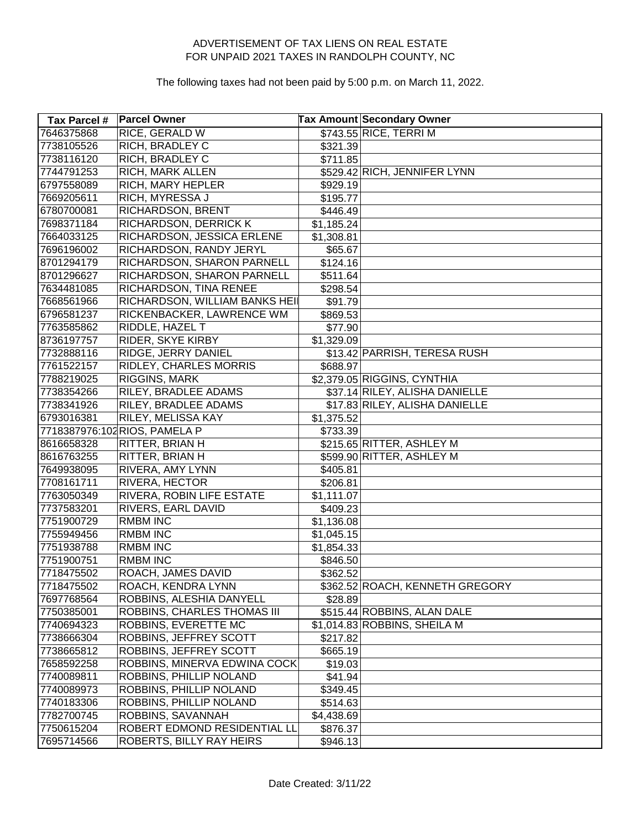| <b>Tax Parcel #</b> | <b>Parcel Owner</b>            |                       | <b>Tax Amount Secondary Owner</b> |
|---------------------|--------------------------------|-----------------------|-----------------------------------|
| 7646375868          | RICE, GERALD W                 |                       | \$743.55 RICE, TERRI M            |
| 7738105526          | <b>RICH, BRADLEY C</b>         | \$321.39              |                                   |
| 7738116120          | <b>RICH, BRADLEY C</b>         | \$711.85              |                                   |
| 7744791253          | RICH, MARK ALLEN               |                       | \$529.42 RICH, JENNIFER LYNN      |
| 6797558089          | RICH, MARY HEPLER              | \$929.19              |                                   |
| 7669205611          | RICH, MYRESSA J                | \$195.77              |                                   |
| 6780700081          | RICHARDSON, BRENT              | \$446.49              |                                   |
| 7698371184          | RICHARDSON, DERRICK K          | \$1,185.24            |                                   |
| 7664033125          | RICHARDSON, JESSICA ERLENE     | \$1,308.81            |                                   |
| 7696196002          | RICHARDSON, RANDY JERYL        | \$65.67               |                                   |
| 8701294179          | RICHARDSON, SHARON PARNELL     | \$124.16              |                                   |
| 8701296627          | RICHARDSON, SHARON PARNELL     | \$511.64              |                                   |
| 7634481085          | RICHARDSON, TINA RENEE         | \$298.54              |                                   |
| 7668561966          | RICHARDSON, WILLIAM BANKS HEII | \$91.79               |                                   |
| 6796581237          | RICKENBACKER, LAWRENCE WM      | \$869.53              |                                   |
| 7763585862          | RIDDLE, HAZEL T                | \$77.90               |                                   |
| 8736197757          | RIDER, SKYE KIRBY              | \$1,329.09            |                                   |
| 7732888116          | RIDGE, JERRY DANIEL            |                       | \$13.42 PARRISH, TERESA RUSH      |
| 7761522157          | RIDLEY, CHARLES MORRIS         | \$688.97              |                                   |
| 7788219025          | <b>RIGGINS, MARK</b>           |                       | \$2,379.05 RIGGINS, CYNTHIA       |
| 7738354266          | RILEY, BRADLEE ADAMS           |                       | \$37.14 RILEY, ALISHA DANIELLE    |
| 7738341926          | RILEY, BRADLEE ADAMS           |                       | \$17.83 RILEY, ALISHA DANIELLE    |
| 6793016381          | RILEY, MELISSA KAY             | \$1,375.52            |                                   |
|                     | 7718387976:102 RIOS, PAMELA P  | \$733.39              |                                   |
| 8616658328          | RITTER, BRIAN H                |                       | \$215.65 RITTER, ASHLEY M         |
| 8616763255          | RITTER, BRIAN H                |                       | \$599.90 RITTER, ASHLEY M         |
| 7649938095          | RIVERA, AMY LYNN               | \$405.81              |                                   |
| 7708161711          | RIVERA, HECTOR                 | \$206.81              |                                   |
| 7763050349          | RIVERA, ROBIN LIFE ESTATE      | \$1,111.07            |                                   |
| 7737583201          | RIVERS, EARL DAVID             | \$409.23              |                                   |
| 7751900729          | <b>RMBM INC</b>                | $\overline{1,136.08}$ |                                   |
| 7755949456          | <b>RMBM INC</b>                | \$1,045.15            |                                   |
| 7751938788          | <b>RMBM INC</b>                | \$1,854.33            |                                   |
| 7751900751          | <b>RMBM INC</b>                | \$846.50              |                                   |
| 7718475502          | ROACH, JAMES DAVID             | \$362.52              |                                   |
| 7718475502          | ROACH, KENDRA LYNN             |                       | \$362.52 ROACH, KENNETH GREGORY   |
| 7697768564          | ROBBINS, ALESHIA DANYELL       | \$28.89               |                                   |
| 7750385001          | ROBBINS, CHARLES THOMAS III    |                       | \$515.44 ROBBINS, ALAN DALE       |
| 7740694323          | ROBBINS, EVERETTE MC           |                       | \$1,014.83 ROBBINS, SHEILA M      |
| 7738666304          | ROBBINS, JEFFREY SCOTT         | \$217.82              |                                   |
| 7738665812          | ROBBINS, JEFFREY SCOTT         | \$665.19              |                                   |
| 7658592258          | ROBBINS, MINERVA EDWINA COCK   | \$19.03               |                                   |
| 7740089811          | ROBBINS, PHILLIP NOLAND        | \$41.94               |                                   |
| 7740089973          | ROBBINS, PHILLIP NOLAND        | \$349.45              |                                   |
| 7740183306          | ROBBINS, PHILLIP NOLAND        | \$514.63              |                                   |
| 7782700745          | ROBBINS, SAVANNAH              | \$4,438.69            |                                   |
| 7750615204          | ROBERT EDMOND RESIDENTIAL LL   | \$876.37              |                                   |
| 7695714566          | ROBERTS, BILLY RAY HEIRS       | \$946.13              |                                   |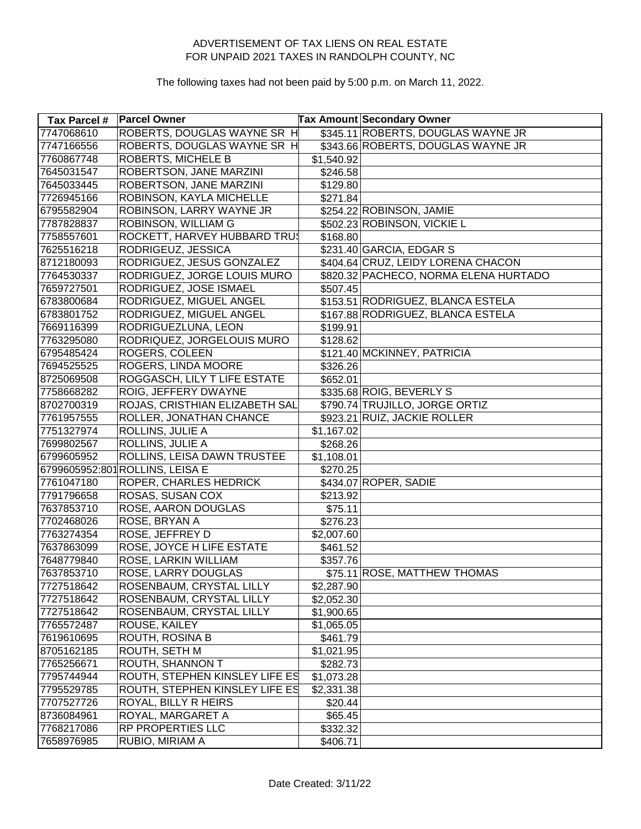| Tax Parcel # | <b>Parcel Owner</b>             |            | <b>Tax Amount Secondary Owner</b>     |
|--------------|---------------------------------|------------|---------------------------------------|
| 7747068610   | ROBERTS, DOUGLAS WAYNE SR H     |            | \$345.11 ROBERTS, DOUGLAS WAYNE JR    |
| 7747166556   | ROBERTS, DOUGLAS WAYNE SR H     |            | \$343.66 ROBERTS, DOUGLAS WAYNE JR    |
| 7760867748   | ROBERTS, MICHELE B              | \$1,540.92 |                                       |
| 7645031547   | ROBERTSON, JANE MARZINI         | \$246.58   |                                       |
| 7645033445   | ROBERTSON, JANE MARZINI         | \$129.80   |                                       |
| 7726945166   | ROBINSON, KAYLA MICHELLE        | \$271.84   |                                       |
| 6795582904   | ROBINSON, LARRY WAYNE JR        |            | \$254.22 ROBINSON, JAMIE              |
| 7787828837   | ROBINSON, WILLIAM G             |            | \$502.23 ROBINSON, VICKIE L           |
| 7758557601   | ROCKETT, HARVEY HUBBARD TRUS    | \$168.80   |                                       |
| 7625516218   | RODRIGEUZ, JESSICA              |            | \$231.40 GARCIA, EDGAR S              |
| 8712180093   | RODRIGUEZ, JESUS GONZALEZ       |            | \$404.64 CRUZ, LEIDY LORENA CHACON    |
| 7764530337   | RODRIGUEZ, JORGE LOUIS MURO     |            | \$820.32 PACHECO, NORMA ELENA HURTADO |
| 7659727501   | RODRIGUEZ, JOSE ISMAEL          | \$507.45]  |                                       |
| 6783800684   | RODRIGUEZ, MIGUEL ANGEL         |            | \$153.51 RODRIGUEZ, BLANCA ESTELA     |
| 6783801752   | RODRIGUEZ, MIGUEL ANGEL         |            | \$167.88 RODRIGUEZ, BLANCA ESTELA     |
| 7669116399   | RODRIGUEZLUNA, LEON             | \$199.91   |                                       |
| 7763295080   | RODRIQUEZ, JORGELOUIS MURO      | \$128.62   |                                       |
| 6795485424   | ROGERS, COLEEN                  |            | \$121.40 MCKINNEY, PATRICIA           |
| 7694525525   | ROGERS, LINDA MOORE             | \$326.26   |                                       |
| 8725069508   | ROGGASCH, LILY T LIFE ESTATE    | \$652.01   |                                       |
| 7758668282   | ROIG, JEFFERY DWAYNE            |            | \$335.68 ROIG, BEVERLY S              |
| 8702700319   | ROJAS, CRISTHIAN ELIZABETH SAL  |            | \$790.74 TRUJILLO, JORGE ORTIZ        |
| 7761957555   | ROLLER, JONATHAN CHANCE         |            | \$923.21 RUIZ, JACKIE ROLLER          |
| 7751327974   | ROLLINS, JULIE A                | \$1,167.02 |                                       |
| 7699802567   | ROLLINS, JULIE A                | \$268.26   |                                       |
| 6799605952   | ROLLINS, LEISA DAWN TRUSTEE     | \$1,108.01 |                                       |
|              | 6799605952:801 ROLLINS, LEISA E | \$270.25   |                                       |
| 7761047180   | ROPER, CHARLES HEDRICK          |            | \$434.07 ROPER, SADIE                 |
| 7791796658   | ROSAS, SUSAN COX                | \$213.92   |                                       |
| 7637853710   | ROSE, AARON DOUGLAS             | \$75.11    |                                       |
| 7702468026   | ROSE, BRYAN A                   | \$276.23   |                                       |
| 7763274354   | ROSE, JEFFREY D                 | \$2,007.60 |                                       |
| 7637863099   | ROSE, JOYCE H LIFE ESTATE       | \$461.52   |                                       |
| 7648779840   | ROSE, LARKIN WILLIAM            | \$357.76   |                                       |
| 7637853710   | ROSE, LARRY DOUGLAS             |            | \$75.11 ROSE, MATTHEW THOMAS          |
| 7727518642   | ROSENBAUM, CRYSTAL LILLY        | \$2,287.90 |                                       |
| 7727518642   | ROSENBAUM, CRYSTAL LILLY        | \$2,052.30 |                                       |
| 7727518642   | ROSENBAUM, CRYSTAL LILLY        | \$1,900.65 |                                       |
| 7765572487   | ROUSE, KAILEY                   | \$1,065.05 |                                       |
| 7619610695   | ROUTH, ROSINA B                 | \$461.79   |                                       |
| 8705162185   | ROUTH, SETH M                   | \$1,021.95 |                                       |
| 7765256671   | ROUTH, SHANNON T                | \$282.73   |                                       |
| 7795744944   | ROUTH, STEPHEN KINSLEY LIFE ES  | \$1,073.28 |                                       |
| 7795529785   | ROUTH, STEPHEN KINSLEY LIFE ES  | \$2,331.38 |                                       |
| 7707527726   | ROYAL, BILLY R HEIRS            | \$20.44    |                                       |
| 8736084961   | ROYAL, MARGARET A               | \$65.45    |                                       |
| 7768217086   | RP PROPERTIES LLC               | \$332.32   |                                       |
| 7658976985   | RUBIO, MIRIAM A                 | \$406.71   |                                       |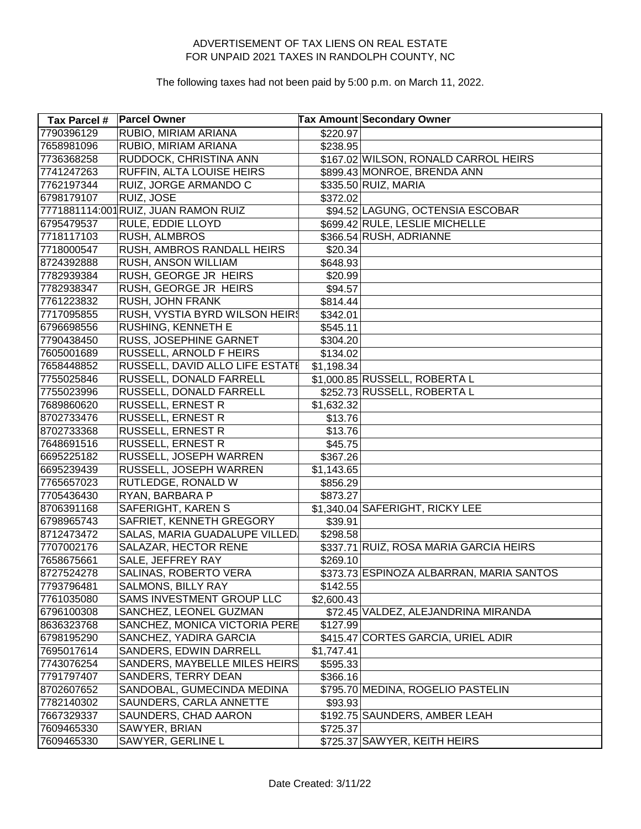| <b>Tax Parcel #</b> | <b>Parcel Owner</b>                  |                      | Tax Amount Secondary Owner               |
|---------------------|--------------------------------------|----------------------|------------------------------------------|
| 7790396129          | RUBIO, MIRIAM ARIANA                 | \$220.97             |                                          |
| 7658981096          | RUBIO, MIRIAM ARIANA                 | \$238.95             |                                          |
| 7736368258          | RUDDOCK, CHRISTINA ANN               |                      | \$167.02 WILSON, RONALD CARROL HEIRS     |
| 7741247263          | RUFFIN, ALTA LOUISE HEIRS            |                      | \$899.43 MONROE, BRENDA ANN              |
| 7762197344          | RUIZ, JORGE ARMANDO C                |                      | \$335.50 RUIZ, MARIA                     |
| 6798179107          | RUIZ, JOSE                           | \$372.02             |                                          |
|                     | 7771881114:001 RUIZ, JUAN RAMON RUIZ |                      | \$94.52 LAGUNG, OCTENSIA ESCOBAR         |
| 6795479537          | RULE, EDDIE LLOYD                    |                      | \$699.42 RULE, LESLIE MICHELLE           |
| 7718117103          | RUSH, ALMBROS                        |                      | \$366.54 RUSH, ADRIANNE                  |
| 7718000547          | RUSH, AMBROS RANDALL HEIRS           | \$20.34]             |                                          |
| 8724392888          | RUSH, ANSON WILLIAM                  | \$648.93             |                                          |
| 7782939384          | RUSH, GEORGE JR HEIRS                | \$20.99              |                                          |
| 7782938347          | RUSH, GEORGE JR HEIRS                | \$94.57              |                                          |
| 7761223832          | RUSH, JOHN FRANK                     | \$814.44             |                                          |
| 7717095855          | RUSH, VYSTIA BYRD WILSON HEIRS       | \$342.01             |                                          |
| 6796698556          | RUSHING, KENNETH E                   | \$545.11             |                                          |
| 7790438450          | RUSS, JOSEPHINE GARNET               | \$304.20             |                                          |
| 7605001689          | RUSSELL, ARNOLD F HEIRS              | \$134.02             |                                          |
| 7658448852          | RUSSELL, DAVID ALLO LIFE ESTATE      | \$1,198.34           |                                          |
| 7755025846          | RUSSELL, DONALD FARRELL              |                      | \$1,000.85 RUSSELL, ROBERTA L            |
| 7755023996          | RUSSELL, DONALD FARRELL              |                      | \$252.73 RUSSELL, ROBERTA L              |
| 7689860620          | <b>RUSSELL, ERNEST R</b>             | \$1,632.32           |                                          |
| 8702733476          | RUSSELL, ERNEST R                    | \$13.76              |                                          |
| 8702733368          | RUSSELL, ERNEST R                    | \$13.76              |                                          |
| 7648691516          | RUSSELL, ERNEST R                    | \$45.75              |                                          |
| 6695225182          | RUSSELL, JOSEPH WARREN               | \$367.26             |                                          |
| 6695239439          | RUSSELL, JOSEPH WARREN               | \$1,143.65           |                                          |
| 7765657023          | RUTLEDGE, RONALD W                   | \$856.29             |                                          |
| 7705436430          | RYAN, BARBARA P                      | \$873.27             |                                          |
| 8706391168          | SAFERIGHT, KAREN S                   |                      | \$1,340.04 SAFERIGHT, RICKY LEE          |
| 6798965743          | SAFRIET, KENNETH GREGORY             | \$39.91              |                                          |
| 8712473472          | SALAS, MARIA GUADALUPE VILLED.       | $\overline{$}298.58$ |                                          |
| 7707002176          | SALAZAR, HECTOR RENE                 |                      | \$337.71 RUIZ, ROSA MARIA GARCIA HEIRS   |
| 7658675661          | SALE, JEFFREY RAY                    | \$269.10             |                                          |
| 8727524278          | SALINAS, ROBERTO VERA                |                      | \$373.73 ESPINOZA ALBARRAN, MARIA SANTOS |
| 7793796481          | SALMONS, BILLY RAY                   | \$142.55             |                                          |
| 7761035080          | SAMS INVESTMENT GROUP LLC            | \$2,600.43           |                                          |
| 6796100308          | SANCHEZ, LEONEL GUZMAN               |                      | \$72.45 VALDEZ, ALEJANDRINA MIRANDA      |
| 8636323768          | SANCHEZ, MONICA VICTORIA PERE        | \$127.99             |                                          |
| 6798195290          | SANCHEZ, YADIRA GARCIA               |                      | \$415.47 CORTES GARCIA, URIEL ADIR       |
| 7695017614          | SANDERS, EDWIN DARRELL               | \$1,747.41           |                                          |
| 7743076254          | SANDERS, MAYBELLE MILES HEIRS        | \$595.33             |                                          |
| 7791797407          | SANDERS, TERRY DEAN                  | \$366.16             |                                          |
| 8702607652          | SANDOBAL, GUMECINDA MEDINA           |                      | \$795.70 MEDINA, ROGELIO PASTELIN        |
| 7782140302          | SAUNDERS, CARLA ANNETTE              | \$93.93              |                                          |
| 7667329337          | SAUNDERS, CHAD AARON                 |                      | \$192.75 SAUNDERS, AMBER LEAH            |
| 7609465330          | SAWYER, BRIAN                        | \$725.37             |                                          |
| 7609465330          | SAWYER, GERLINE L                    |                      | \$725.37 SAWYER, KEITH HEIRS             |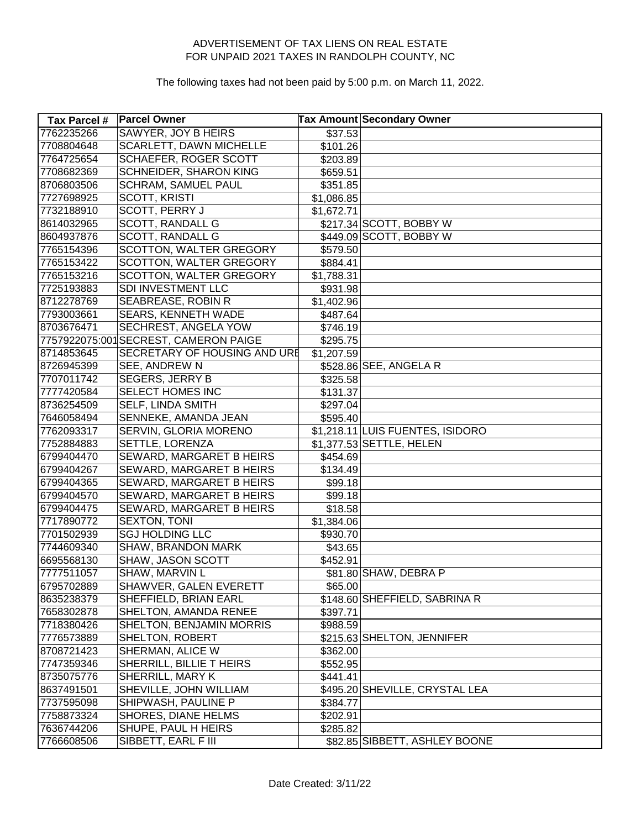| Tax Parcel # | <b>Parcel Owner</b>                  |            | <b>Tax Amount Secondary Owner</b> |
|--------------|--------------------------------------|------------|-----------------------------------|
| 7762235266   | <b>SAWYER, JOY B HEIRS</b>           | \$37.53    |                                   |
| 7708804648   | SCARLETT, DAWN MICHELLE              | \$101.26   |                                   |
| 7764725654   | SCHAEFER, ROGER SCOTT                | \$203.89   |                                   |
| 7708682369   | SCHNEIDER, SHARON KING               | \$659.51   |                                   |
| 8706803506   | <b>SCHRAM, SAMUEL PAUL</b>           | \$351.85   |                                   |
| 7727698925   | <b>SCOTT, KRISTI</b>                 | \$1,086.85 |                                   |
| 7732188910   | SCOTT, PERRY J                       | \$1,672.71 |                                   |
| 8614032965   | SCOTT, RANDALL G                     |            | \$217.34 SCOTT, BOBBY W           |
| 8604937876   | <b>SCOTT, RANDALL G</b>              |            | \$449.09 SCOTT, BOBBY W           |
| 7765154396   | SCOTTON, WALTER GREGORY              | \$579.50   |                                   |
| 7765153422   | SCOTTON, WALTER GREGORY              | \$884.41   |                                   |
| 7765153216   | SCOTTON, WALTER GREGORY              | \$1,788.31 |                                   |
| 7725193883   | SDI INVESTMENT LLC                   | \$931.98   |                                   |
| 8712278769   | SEABREASE, ROBIN R                   | \$1,402.96 |                                   |
| 7793003661   | SEARS, KENNETH WADE                  | \$487.64   |                                   |
| 8703676471   | <b>SECHREST, ANGELA YOW</b>          | \$746.19   |                                   |
|              | 7757922075:001SECREST, CAMERON PAIGE | \$295.75   |                                   |
| 8714853645   | SECRETARY OF HOUSING AND URE         | \$1,207.59 |                                   |
| 8726945399   | SEE, ANDREW N                        |            | \$528.86 SEE, ANGELA R            |
| 7707011742   | <b>SEGERS, JERRY B</b>               | \$325.58   |                                   |
| 7777420584   | SELECT HOMES INC                     | \$131.37   |                                   |
| 8736254509   | SELF, LINDA SMITH                    | \$297.04]  |                                   |
| 7646058494   | SENNEKE, AMANDA JEAN                 | \$595.40   |                                   |
| 7762093317   | SERVIN, GLORIA MORENO                |            | \$1,218.11 LUIS FUENTES, ISIDORO  |
| 7752884883   | SETTLE, LORENZA                      |            | \$1,377.53 SETTLE, HELEN          |
| 6799404470   | SEWARD, MARGARET B HEIRS             | \$454.69   |                                   |
| 6799404267   | SEWARD, MARGARET B HEIRS             | \$134.49   |                                   |
| 6799404365   | SEWARD, MARGARET B HEIRS             | \$99.18    |                                   |
| 6799404570   | SEWARD, MARGARET B HEIRS             | \$99.18    |                                   |
| 6799404475   | SEWARD, MARGARET B HEIRS             | \$18.58    |                                   |
| 7717890772   | SEXTON, TONI                         | \$1,384.06 |                                   |
| 7701502939   | <b>SGJ HOLDING LLC</b>               | \$930.70   |                                   |
| 7744609340   | SHAW, BRANDON MARK                   | \$43.65    |                                   |
| 6695568130   | SHAW, JASON SCOTT                    | \$452.91   |                                   |
| 7777511057   | SHAW, MARVIN L                       |            | \$81.80 SHAW, DEBRA P             |
| 6795702889   | SHAWVER, GALEN EVERETT               | \$65.00    |                                   |
| 8635238379   | SHEFFIELD, BRIAN EARL                |            | \$148.60 SHEFFIELD, SABRINA R     |
| 7658302878   | SHELTON, AMANDA RENEE                | \$397.71   |                                   |
| 7718380426   | SHELTON, BENJAMIN MORRIS             | \$988.59   |                                   |
| 7776573889   | SHELTON, ROBERT                      |            | \$215.63 SHELTON, JENNIFER        |
| 8708721423   | SHERMAN, ALICE W                     | \$362.00   |                                   |
| 7747359346   | SHERRILL, BILLIE THEIRS              | \$552.95   |                                   |
| 8735075776   | SHERRILL, MARY K                     | \$441.41   |                                   |
| 8637491501   | SHEVILLE, JOHN WILLIAM               |            | \$495.20 SHEVILLE, CRYSTAL LEA    |
| 7737595098   | SHIPWASH, PAULINE P                  | \$384.77   |                                   |
| 7758873324   | SHORES, DIANE HELMS                  | \$202.91   |                                   |
| 7636744206   | SHUPE, PAUL H HEIRS                  | \$285.82   |                                   |
| 7766608506   | SIBBETT, EARL F III                  |            | \$82.85 SIBBETT, ASHLEY BOONE     |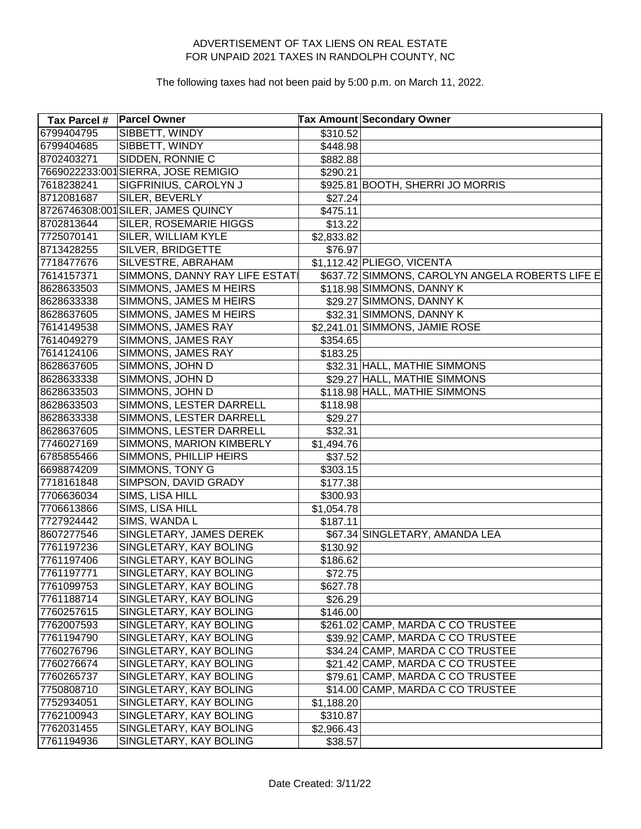| Tax Parcel # | <b>Parcel Owner</b>                |                      | <b>Tax Amount Secondary Owner</b>               |
|--------------|------------------------------------|----------------------|-------------------------------------------------|
| 6799404795   | SIBBETT, WINDY                     | \$310.52             |                                                 |
| 6799404685   | SIBBETT, WINDY                     | \$448.98             |                                                 |
| 8702403271   | SIDDEN, RONNIE C                   | \$882.88             |                                                 |
|              | 7669022233:001SIERRA, JOSE REMIGIO | \$290.21             |                                                 |
| 7618238241   | SIGFRINIUS, CAROLYN J              |                      | \$925.81 BOOTH, SHERRI JO MORRIS                |
| 8712081687   | SILER, BEVERLY                     | \$27.24              |                                                 |
|              | 8726746308:001 SILER, JAMES QUINCY | \$475.11             |                                                 |
| 8702813644   | SILER, ROSEMARIE HIGGS             | \$13.22              |                                                 |
| 7725070141   | SILER, WILLIAM KYLE                | \$2,833.82           |                                                 |
| 8713428255   | SILVER, BRIDGETTE                  | \$76.97              |                                                 |
| 7718477676   | SILVESTRE, ABRAHAM                 |                      | \$1,112.42 PLIEGO, VICENTA                      |
| 7614157371   | SIMMONS, DANNY RAY LIFE ESTATI     |                      | \$637.72 SIMMONS, CAROLYN ANGELA ROBERTS LIFE E |
| 8628633503   | SIMMONS, JAMES M HEIRS             |                      | \$118.98 SIMMONS, DANNY K                       |
| 8628633338   | SIMMONS, JAMES M HEIRS             |                      | \$29.27 SIMMONS, DANNY K                        |
| 8628637605   | SIMMONS, JAMES M HEIRS             |                      | \$32.31 SIMMONS, DANNY K                        |
| 7614149538   | SIMMONS, JAMES RAY                 |                      | \$2,241.01 SIMMONS, JAMIE ROSE                  |
| 7614049279   | SIMMONS, JAMES RAY                 | $\overline{$}354.65$ |                                                 |
| 7614124106   | SIMMONS, JAMES RAY                 | \$183.25             |                                                 |
| 8628637605   | SIMMONS, JOHN D                    |                      | \$32.31 HALL, MATHIE SIMMONS                    |
| 8628633338   | SIMMONS, JOHN D                    |                      | \$29.27 HALL, MATHIE SIMMONS                    |
| 8628633503   | SIMMONS, JOHN D                    |                      | \$118.98 HALL, MATHIE SIMMONS                   |
| 8628633503   | SIMMONS, LESTER DARRELL            | \$118.98             |                                                 |
| 8628633338   | SIMMONS, LESTER DARRELL            | \$29.27              |                                                 |
| 8628637605   | SIMMONS, LESTER DARRELL            | \$32.31              |                                                 |
| 7746027169   | SIMMONS, MARION KIMBERLY           | \$1,494.76           |                                                 |
| 6785855466   | SIMMONS, PHILLIP HEIRS             | \$37.52              |                                                 |
| 6698874209   | SIMMONS, TONY G                    | \$303.15             |                                                 |
| 7718161848   | SIMPSON, DAVID GRADY               | \$177.38             |                                                 |
| 7706636034   | SIMS, LISA HILL                    | \$300.93             |                                                 |
| 7706613866   | SIMS, LISA HILL                    | \$1,054.78           |                                                 |
| 7727924442   | SIMS, WANDA L                      | \$187.11             |                                                 |
| 8607277546   | SINGLETARY, JAMES DEREK            |                      | \$67.34 SINGLETARY, AMANDA LEA                  |
| 7761197236   | SINGLETARY, KAY BOLING             | \$130.92             |                                                 |
| 7761197406   | SINGLETARY, KAY BOLING             | \$186.62             |                                                 |
| 7761197771   | SINGLETARY, KAY BOLING             | \$72.75              |                                                 |
| 7761099753   | SINGLETARY, KAY BOLING             | \$627.78             |                                                 |
| 7761188714   | SINGLETARY, KAY BOLING             | \$26.29              |                                                 |
| 7760257615   | SINGLETARY, KAY BOLING             | \$146.00             |                                                 |
| 7762007593   | SINGLETARY, KAY BOLING             |                      | \$261.02 CAMP, MARDA C CO TRUSTEE               |
| 7761194790   | SINGLETARY, KAY BOLING             |                      | \$39.92 CAMP, MARDA C CO TRUSTEE                |
| 7760276796   | SINGLETARY, KAY BOLING             |                      | \$34.24 CAMP, MARDA C CO TRUSTEE                |
| 7760276674   | SINGLETARY, KAY BOLING             |                      | \$21.42 CAMP, MARDA C CO TRUSTEE                |
| 7760265737   | SINGLETARY, KAY BOLING             |                      | \$79.61 CAMP, MARDA C CO TRUSTEE                |
| 7750808710   | SINGLETARY, KAY BOLING             |                      | \$14.00 CAMP, MARDA C CO TRUSTEE                |
| 7752934051   | SINGLETARY, KAY BOLING             | \$1,188.20           |                                                 |
| 7762100943   | SINGLETARY, KAY BOLING             | \$310.87             |                                                 |
| 7762031455   | SINGLETARY, KAY BOLING             | \$2,966.43           |                                                 |
| 7761194936   | SINGLETARY, KAY BOLING             | \$38.57              |                                                 |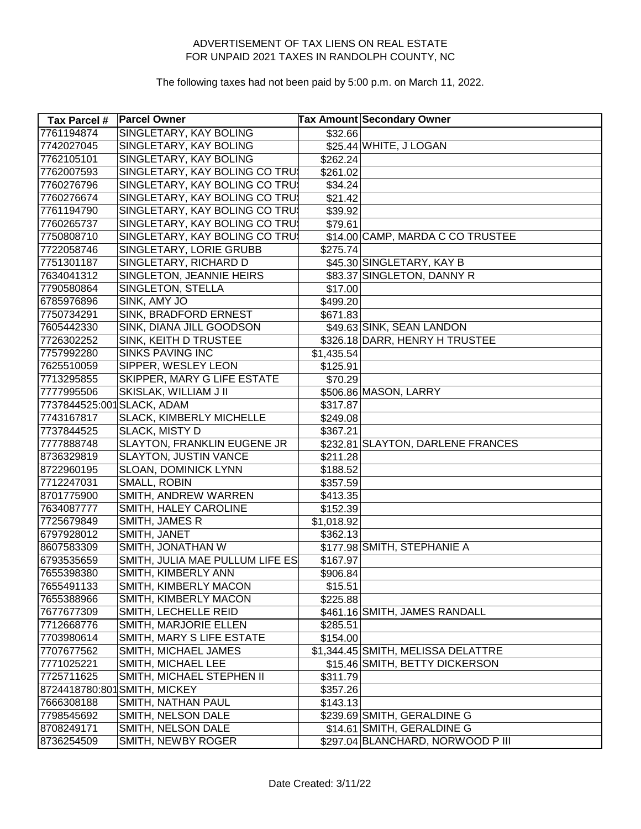| Tax Parcel #               | <b>Parcel Owner</b>             |                        | <b>Tax Amount Secondary Owner</b>  |
|----------------------------|---------------------------------|------------------------|------------------------------------|
| 7761194874                 | SINGLETARY, KAY BOLING          | \$32.66                |                                    |
| 7742027045                 | SINGLETARY, KAY BOLING          |                        | \$25.44 WHITE, J LOGAN             |
| 7762105101                 | SINGLETARY, KAY BOLING          | \$262.24]              |                                    |
| 7762007593                 | SINGLETARY, KAY BOLING CO TRU   | \$261.02               |                                    |
| 7760276796                 | SINGLETARY, KAY BOLING CO TRU   | \$34.24                |                                    |
| 7760276674                 | SINGLETARY, KAY BOLING CO TRU   | \$21.42                |                                    |
| 7761194790                 | SINGLETARY, KAY BOLING CO TRUS  | \$39.92                |                                    |
| 7760265737                 | SINGLETARY, KAY BOLING CO TRUS  | \$79.61                |                                    |
| 7750808710                 | SINGLETARY, KAY BOLING CO TRUS  |                        | \$14.00 CAMP, MARDA C CO TRUSTEE   |
| 7722058746                 | SINGLETARY, LORIE GRUBB         | \$275.74]              |                                    |
| 7751301187                 | SINGLETARY, RICHARD D           |                        | \$45.30 SINGLETARY, KAY B          |
| 7634041312                 | SINGLETON, JEANNIE HEIRS        |                        | \$83.37 SINGLETON, DANNY R         |
| 7790580864                 | SINGLETON, STELLA               | \$17.00                |                                    |
| 6785976896                 | SINK, AMY JO                    | \$499.20               |                                    |
| 7750734291                 | SINK, BRADFORD ERNEST           | \$671.83               |                                    |
| 7605442330                 | SINK, DIANA JILL GOODSON        |                        | \$49.63 SINK, SEAN LANDON          |
| 7726302252                 | SINK, KEITH D TRUSTEE           |                        | \$326.18 DARR, HENRY H TRUSTEE     |
| 7757992280                 | <b>SINKS PAVING INC</b>         | \$1,435.54             |                                    |
| 7625510059                 | SIPPER, WESLEY LEON             | \$125.91               |                                    |
| 7713295855                 | SKIPPER, MARY G LIFE ESTATE     | \$70.29                |                                    |
| 7777995506                 | SKISLAK, WILLIAM J II           |                        | \$506.86 MASON, LARRY              |
| 7737844525:001 SLACK, ADAM |                                 | \$317.87               |                                    |
| 7743167817                 | SLACK, KIMBERLY MICHELLE        | \$249.08               |                                    |
| 7737844525                 | SLACK, MISTY D                  | \$367.21               |                                    |
| 7777888748                 | SLAYTON, FRANKLIN EUGENE JR     |                        | \$232.81 SLAYTON, DARLENE FRANCES  |
| 8736329819                 | SLAYTON, JUSTIN VANCE           | \$211.28               |                                    |
| 8722960195                 | SLOAN, DOMINICK LYNN            | \$188.52               |                                    |
| 7712247031                 | SMALL, ROBIN                    | \$357.59               |                                    |
| 8701775900                 | SMITH, ANDREW WARREN            | \$413.35               |                                    |
| 7634087777                 | SMITH, HALEY CAROLINE           | \$152.39               |                                    |
| 7725679849                 | SMITH, JAMES R                  | $\overline{$}1,018.92$ |                                    |
| 6797928012                 | SMITH, JANET                    | \$362.13               |                                    |
| 8607583309                 | SMITH, JONATHAN W               |                        | \$177.98 SMITH, STEPHANIE A        |
| 6793535659                 | SMITH, JULIA MAE PULLUM LIFE ES | \$167.97               |                                    |
| 7655398380                 | SMITH, KIMBERLY ANN             | \$906.84]              |                                    |
| 7655491133                 | SMITH, KIMBERLY MACON           | \$15.51                |                                    |
| 7655388966                 | SMITH, KIMBERLY MACON           | \$225.88               |                                    |
| 7677677309                 | SMITH, LECHELLE REID            |                        | \$461.16 SMITH, JAMES RANDALL      |
| 7712668776                 | SMITH, MARJORIE ELLEN           | \$285.51               |                                    |
| 7703980614                 | SMITH, MARY S LIFE ESTATE       | \$154.00               |                                    |
| 7707677562                 | SMITH, MICHAEL JAMES            |                        | \$1,344.45 SMITH, MELISSA DELATTRE |
| 7771025221                 | SMITH, MICHAEL LEE              |                        | \$15.46 SMITH, BETTY DICKERSON     |
| 7725711625                 | SMITH, MICHAEL STEPHEN II       | \$311.79               |                                    |
|                            | 8724418780:801 SMITH, MICKEY    | \$357.26               |                                    |
| 7666308188                 | SMITH, NATHAN PAUL              | \$143.13               |                                    |
| 7798545692                 | SMITH, NELSON DALE              |                        | \$239.69 SMITH, GERALDINE G        |
| 8708249171                 | SMITH, NELSON DALE              |                        | \$14.61 SMITH, GERALDINE G         |
| 8736254509                 | SMITH, NEWBY ROGER              |                        | \$297.04 BLANCHARD, NORWOOD P III  |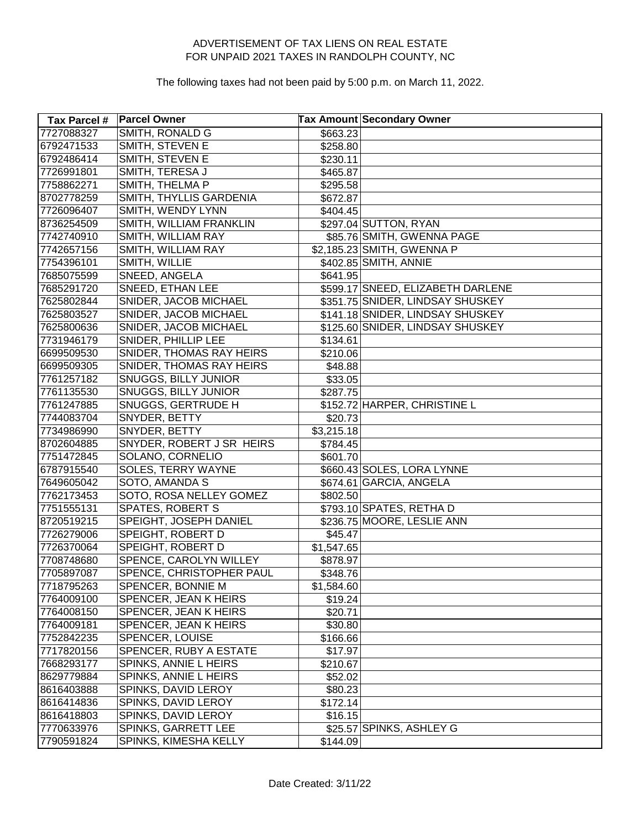| <b>Tax Parcel #</b> | <b>Parcel Owner</b>       |            | <b>Tax Amount Secondary Owner</b> |
|---------------------|---------------------------|------------|-----------------------------------|
| 7727088327          | SMITH, RONALD G           | \$663.23   |                                   |
| 6792471533          | SMITH, STEVEN E           | \$258.80   |                                   |
| 6792486414          | SMITH, STEVEN E           | \$230.11   |                                   |
| 7726991801          | SMITH, TERESA J           | \$465.87   |                                   |
| 7758862271          | SMITH, THELMA P           | \$295.58   |                                   |
| 8702778259          | SMITH, THYLLIS GARDENIA   | \$672.87   |                                   |
| 7726096407          | SMITH, WENDY LYNN         | \$404.45]  |                                   |
| 8736254509          | SMITH, WILLIAM FRANKLIN   |            | \$297.04 SUTTON, RYAN             |
| 7742740910          | SMITH, WILLIAM RAY        |            | \$85.76 SMITH, GWENNA PAGE        |
| 7742657156          | SMITH, WILLIAM RAY        |            | \$2,185.23 SMITH, GWENNA P        |
| 7754396101          | SMITH, WILLIE             |            | \$402.85 SMITH, ANNIE             |
| 7685075599          | SNEED, ANGELA             | \$641.95   |                                   |
| 7685291720          | SNEED, ETHAN LEE          |            | \$599.17 SNEED, ELIZABETH DARLENE |
| 7625802844          | SNIDER, JACOB MICHAEL     |            | \$351.75 SNIDER, LINDSAY SHUSKEY  |
| 7625803527          | SNIDER, JACOB MICHAEL     |            | \$141.18 SNIDER, LINDSAY SHUSKEY  |
| 7625800636          | SNIDER, JACOB MICHAEL     |            | \$125.60 SNIDER, LINDSAY SHUSKEY  |
| 7731946179          | SNIDER, PHILLIP LEE       | \$134.61   |                                   |
| 6699509530          | SNIDER, THOMAS RAY HEIRS  | \$210.06   |                                   |
| 6699509305          | SNIDER, THOMAS RAY HEIRS  | \$48.88    |                                   |
| 7761257182          | SNUGGS, BILLY JUNIOR      | \$33.05    |                                   |
| 7761135530          | SNUGGS, BILLY JUNIOR      | \$287.75   |                                   |
| 7761247885          | SNUGGS, GERTRUDE H        |            | \$152.72 HARPER, CHRISTINE L      |
| 7744083704          | SNYDER, BETTY             | \$20.73    |                                   |
| 7734986990          | SNYDER, BETTY             | \$3,215.18 |                                   |
| 8702604885          | SNYDER, ROBERT J SR HEIRS | \$784.45   |                                   |
| 7751472845          | SOLANO, CORNELIO          | \$601.70   |                                   |
| 6787915540          | SOLES, TERRY WAYNE        |            | \$660.43 SOLES, LORA LYNNE        |
| 7649605042          | SOTO, AMANDA S            |            | \$674.61 GARCIA, ANGELA           |
| 7762173453          | SOTO, ROSA NELLEY GOMEZ   | \$802.50   |                                   |
| 7751555131          | <b>SPATES, ROBERT S</b>   |            | \$793.10 SPATES, RETHA D          |
| 8720519215          | SPEIGHT, JOSEPH DANIEL    |            | \$236.75 MOORE, LESLIE ANN        |
| 7726279006          | SPEIGHT, ROBERT D         | \$45.47    |                                   |
| 7726370064          | SPEIGHT, ROBERT D         | \$1,547.65 |                                   |
| 7708748680          | SPENCE, CAROLYN WILLEY    | \$878.97   |                                   |
| 7705897087          | SPENCE, CHRISTOPHER PAUL  | \$348.76   |                                   |
| 7718795263          | SPENCER, BONNIE M         | \$1,584.60 |                                   |
| 7764009100          | SPENCER, JEAN K HEIRS     | \$19.24]   |                                   |
| 7764008150          | SPENCER, JEAN K HEIRS     | \$20.71    |                                   |
| 7764009181          | SPENCER, JEAN K HEIRS     | \$30.80    |                                   |
| 7752842235          | SPENCER, LOUISE           | \$166.66   |                                   |
| 7717820156          | SPENCER, RUBY A ESTATE    | \$17.97    |                                   |
| 7668293177          | SPINKS, ANNIE L HEIRS     | \$210.67   |                                   |
| 8629779884          | SPINKS, ANNIE L HEIRS     | \$52.02    |                                   |
| 8616403888          | SPINKS, DAVID LEROY       | \$80.23    |                                   |
| 8616414836          | SPINKS, DAVID LEROY       | \$172.14]  |                                   |
| 8616418803          | SPINKS, DAVID LEROY       | \$16.15    |                                   |
| 7770633976          | SPINKS, GARRETT LEE       |            | \$25.57 SPINKS, ASHLEY G          |
| 7790591824          | SPINKS, KIMESHA KELLY     | \$144.09   |                                   |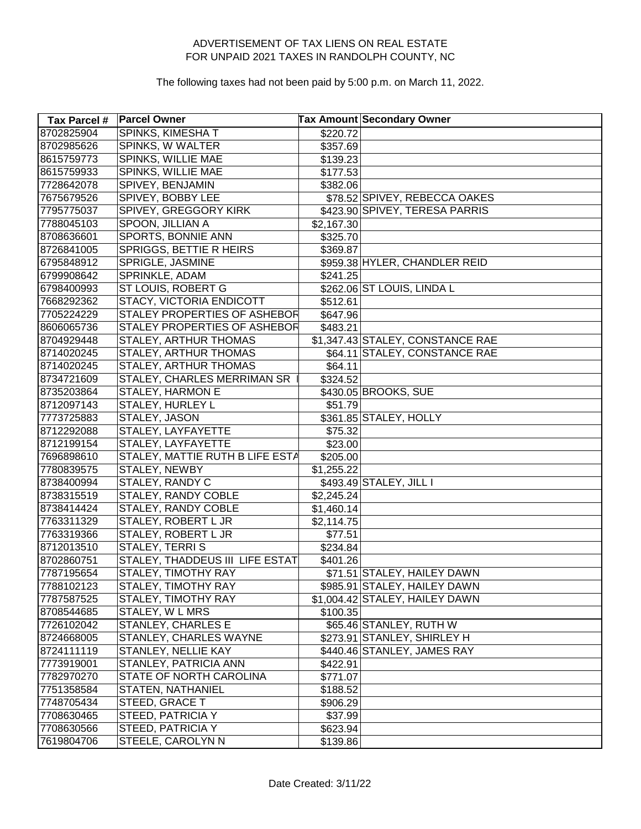| <b>Tax Parcel #</b> | <b>Parcel Owner</b>             |            | <b>Tax Amount Secondary Owner</b> |
|---------------------|---------------------------------|------------|-----------------------------------|
| 8702825904          | SPINKS, KIMESHAT                | \$220.72   |                                   |
| 8702985626          | SPINKS, W WALTER                | \$357.69   |                                   |
| 8615759773          | SPINKS, WILLIE MAE              | \$139.23   |                                   |
| 8615759933          | SPINKS, WILLIE MAE              | \$177.53   |                                   |
| 7728642078          | SPIVEY, BENJAMIN                | \$382.06   |                                   |
| 7675679526          | SPIVEY, BOBBY LEE               |            | \$78.52 SPIVEY, REBECCA OAKES     |
| 7795775037          | SPIVEY, GREGGORY KIRK           |            | \$423.90 SPIVEY, TERESA PARRIS    |
| 7788045103          | SPOON, JILLIAN A                | \$2,167.30 |                                   |
| 8708636601          | SPORTS, BONNIE ANN              | \$325.70   |                                   |
| 8726841005          | SPRIGGS, BETTIE R HEIRS         | \$369.87   |                                   |
| 6795848912          | SPRIGLE, JASMINE                |            | \$959.38 HYLER, CHANDLER REID     |
| 6799908642          | SPRINKLE, ADAM                  | \$241.25   |                                   |
| 6798400993          | ST LOUIS, ROBERT G              |            | \$262.06 ST LOUIS, LINDA L        |
| 7668292362          | STACY, VICTORIA ENDICOTT        | \$512.61   |                                   |
| 7705224229          | STALEY PROPERTIES OF ASHEBOR    | \$647.96   |                                   |
| 8606065736          | STALEY PROPERTIES OF ASHEBOR    | \$483.21   |                                   |
| 8704929448          | STALEY, ARTHUR THOMAS           |            | \$1,347.43 STALEY, CONSTANCE RAE  |
| 8714020245          | STALEY, ARTHUR THOMAS           |            | \$64.11 STALEY, CONSTANCE RAE     |
| 8714020245          | STALEY, ARTHUR THOMAS           | \$64.11    |                                   |
| 8734721609          | STALEY, CHARLES MERRIMAN SR     | \$324.52   |                                   |
| 8735203864          | STALEY, HARMON E                |            | \$430.05 BROOKS, SUE              |
| 8712097143          | STALEY, HURLEY L                | \$51.79    |                                   |
| 7773725883          | STALEY, JASON                   |            | \$361.85 STALEY, HOLLY            |
| 8712292088          | STALEY, LAYFAYETTE              | \$75.32    |                                   |
| 8712199154          | STALEY, LAYFAYETTE              | \$23.00    |                                   |
| 7696898610          | STALEY, MATTIE RUTH B LIFE ESTA | \$205.00   |                                   |
| 7780839575          | STALEY, NEWBY                   | \$1,255.22 |                                   |
| 8738400994          | STALEY, RANDY C                 |            | \$493.49 STALEY, JILL I           |
| 8738315519          | STALEY, RANDY COBLE             | \$2,245.24 |                                   |
| 8738414424          | STALEY, RANDY COBLE             | \$1,460.14 |                                   |
| 7763311329          | STALEY, ROBERT L JR             | \$2,114.75 |                                   |
| 7763319366          | STALEY, ROBERT L JR             | \$77.51    |                                   |
| 8712013510          | STALEY, TERRIS                  | \$234.84   |                                   |
| 8702860751          | STALEY, THADDEUS III LIFE ESTAT | \$401.26   |                                   |
| 7787195654          | STALEY, TIMOTHY RAY             |            | \$71.51 STALEY, HAILEY DAWN       |
| 7788102123          | STALEY, TIMOTHY RAY             |            | \$985.91 STALEY, HAILEY DAWN      |
| 7787587525          | STALEY, TIMOTHY RAY             |            | \$1,004.42 STALEY, HAILEY DAWN    |
| 8708544685          | STALEY, W L MRS                 | \$100.35   |                                   |
| 7726102042          | STANLEY, CHARLES E              |            | \$65.46 STANLEY, RUTH W           |
| 8724668005          | STANLEY, CHARLES WAYNE          |            | \$273.91 STANLEY, SHIRLEY H       |
| 8724111119          | STANLEY, NELLIE KAY             |            | \$440.46 STANLEY, JAMES RAY       |
| 7773919001          | STANLEY, PATRICIA ANN           | \$422.91   |                                   |
| 7782970270          | STATE OF NORTH CAROLINA         | \$771.07   |                                   |
| 7751358584          | <b>STATEN, NATHANIEL</b>        | \$188.52   |                                   |
| 7748705434          | STEED, GRACE T                  | \$906.29   |                                   |
| 7708630465          | STEED, PATRICIA Y               | \$37.99    |                                   |
| 7708630566          | STEED, PATRICIA Y               | \$623.94]  |                                   |
| 7619804706          | STEELE, CAROLYN N               | \$139.86   |                                   |